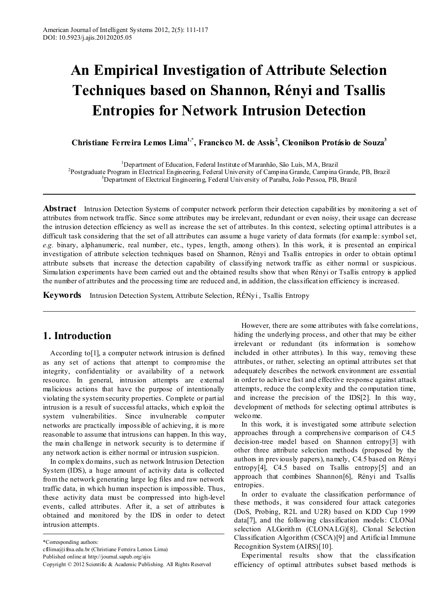# **An Empirical Investigation of Attribute Selection Techniques based on Shannon, Rényi and Tsallis Entropies for Network Intrusion Detection**

**Christiane Ferreira Lemos Lima1,\*, Francisco M. de Assis <sup>2</sup> , Cleonilson Protásio de Souza3**

<sup>1</sup>Department of Education, Federal Institute of Maranhão, São Luís, MA, Brazil Department of Education, Federal Institute of Maranhão, São Luís, MA, Brazil <sup>2</sup> Postgraduate Program in Electrical Engineering, Federal University of Campina Grande, Campina Grande, PB, Brazil 3 Department of Electrical Engineering, Federal University of Paraíba, João Pessoa, PB, Brazil

**Abstract** Intrusion Detection Systems of computer network perform their detection capabilities by monitoring a set of attributes from network traffic. Since some attributes may be irrelevant, redundant or even noisy, their usage can decrease the intrusion detection efficiency as well as increase the set of attributes. In this context, selecting optimal attributes is a difficult task considering that the set of all attributes can assume a huge variety of data formats (for example: symbol set, *e.g.* binary, alphanumeric, real number, etc., types, length, among others). In this work, it is presented an empirical investigation of attribute selection techniques based on Shannon, Rényi and Tsallis entropies in order to obtain optimal attribute subsets that increase the detection capability of classifying network traffic as either normal or suspicious. Simulation experiments have been carried out and the obtained results show that when Rényi or Tsallis entropy is applied the number of attributes and the processing time are reduced and, in addition, the classification efficiency is increased.

**Keywords** Intrusion Detection System, Attribute Selection, RÉNyi , Tsallis Entropy

# **1. Introduction**

According to[1], a computer network intrusion is defined as any set of actions that attempt to compromise the integrity, confidentiality or availability of a network resource. In general, intrusion attempts are external malicious actions that have the purpose of intentionally violating the system security properties. Complete or partial intrusion is a result of successful attacks, which exploit the system vulnerabilities. Since invulnerable computer networks are practically impossible of achieving, it is more reasonable to assume that intrusions can happen. In this way, the main challenge in network security is to determine if any network action is either normal or intrusion suspicion.

In complex domains, such as network Intrusion Detection System (IDS), a huge amount of activity data is collected from the network generating large log files and raw network traffic data, in which human inspection is impossible. Thus, these activity data must be compressed into high-level events, called attributes. After it, a set of attributes is obtained and monitored by the IDS in order to detect intrusion attempts.

\*Corresponding authors:

Published online at http://journal.sapub.org/ajis

However, there are some attributes with false correlations, hiding the underlying process, and other that may be either irrelevant or redundant (its information is somehow included in other attributes). In this way, removing these attributes, or rather, selecting an optimal attributes set that adequately describes the network environment are essential in order to achieve fast and effective response against attack attempts, reduce the complexity and the computation time, and increase the precision of the IDS[2]. In this way, development of methods for selecting optimal attributes is welcome.

In this work, it is investigated some attribute selection approaches through a comprehensive comparison of C4.5 decision-tree model based on Shannon entropy[3] with other three attribute selection methods (proposed by the authors in previously papers), namely, C4.5 based on Rényi entropy[4], C4.5 based on Tsallis entropy[5] and an approach that combines Shannon[6], Rényi and Tsallis entropies.

In order to evaluate the classification performance of these methods, it was considered four attack categories (DoS, Probing, R2L and U2R) based on KDD Cup 1999 data[7], and the following classification models: CLONal selection ALGorithm (CLONALG)[8], Clonal Selection Classification Algorithm (CSCA)[9] and Artificial Immune Recognition System (AIRS)[10].

Experimental results show that the classification efficiency of optimal attributes subset based methods is

cfllima@ifma.edu.br (Christiane Ferreira Lemos Lima)

Copyright © 2012 Scientific & Academic Publishing. All Rights Reserved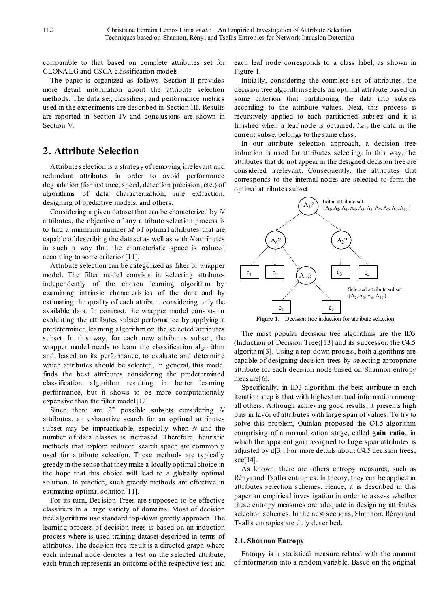comparable to that based on complete attributes set for CLONALG and CSCA classification models.

The paper is organized as follows. Section II provides more detail information about the attribute selection methods. The data set, classifiers, and performance metrics used in the experiments are described in Section III. Results are reported in Section IV and conclusions are shown in Section V.

# **2. Attribute Selection**

Attribute selection is a strategy of removing irrelevant and redundant attributes in order to avoid performance degradation (for instance, speed, detection precision, etc.) of algorithms of data characterization, rule extraction, designing of predictive models, and others.

Considering a given dataset that can be characterized by *N* attributes, the objective of any attribute selection process is to find a minimum number *M* of optimal attributes that are capable of describing the dataset as well as with *N* attributes in such a way that the characteristic space is reduced according to some criterion[11].

Attribute selection can be categorized as filter or wrapper model. The filter model consists in selecting attributes independently of the chosen learning algorithm by examining intrinsic characteristics of the data and by estimating the quality of each attribute considering only the available data. In contrast, the wrapper model consists in evaluating the attributes subset performance by applying a predetermined learning algorithm on the selected attributes subset. In this way, for each new attributes subset, the wrapper model needs to learn the classification algorithm and, based on its performance, to evaluate and determine which attributes should be selected. In general, this model finds the best attributes considering the predetermined classification algorithm resulting in better learning performance, but it shows to be more computationally expensive than the filter model**[**12].

Since there are  $2^N$  possible subsets considering N attributes, an exhaustive search for an optimal attributes subset may be impracticable, especially when *N* and the number of data classes is increased. Therefore, heuristic methods that explore reduced search space are commonly used for attribute selection. These methods are typically greedy in the sense that they make a locally optimal choice in the hope that this choice will lead to a globally optimal solution. In practice, such greedy methods are effective in estimating optimal solution[11].

For its turn, Decision Trees are supposed to be effective classifiers in a large variety of domains. Most of decision tree algorithms use standard top-down greedy approach. The learning process of decision trees is based on an induction process where is used training dataset described in terms of attributes. The decision tree result is a directed graph where each internal node denotes a test on the selected attribute, each branch represents an outcome of the respective test and

each leaf node corresponds to a class label, as shown in Figure 1.

Initially, considering the complete set of attributes, the decision tree algorithm selects an optimal attribute based on some criterion that partitioning the data into subsets according to the attribute values. Next, this process is recursively applied to each partitioned subsets and it is finished when a leaf node is obtained, *i.e.*, the data in the current subset belongs to the same class.

In our attribute selection approach, a decision tree induction is used for attributes selecting. In this way, the attributes that do not appear in the designed decision tree are considered irrelevant. Consequently, the attributes that corresponds to the internal nodes are selected to form the optimal attributes subset.



The most popular decision tree algorithms are the ID3 (Induction of Decision Tree)[13] and its successor, the C4.5 algorithm[3]. Using a top-down process, both algorithms are capable of designing decision trees by selecting appropriate attribute for each decision node based on Shannon entropy measure[6].

Specifically, in ID3 algorithm, the best attribute in each iteration step is that with highest mutual information among all others. Although achieving good results, it presents high bias in favor of attributes with large span of values. To try to solve this problem, Quinlan proposed the C4.5 algorithm comprising of a normalization stage, called **gain ratio**, in which the apparent gain assigned to large span attributes is adjusted by it[3]. For more details about C4.5 decision trees, see[14].

As known, there are others entropy measures, such as Rényi and Tsallis entropies. In theory, they can be applied in attributes selection schemes. Hence, it is described in this paper an empirical investigation in order to assess whether these entropy measures are adequate in designing attributes selection schemes. In the next sections, Shannon, Rényi and Tsallis entropies are duly described.

## **2.1. Shannon Entropy**

Entropy is a statistical measure related with the amount of information into a random variable. Based on the original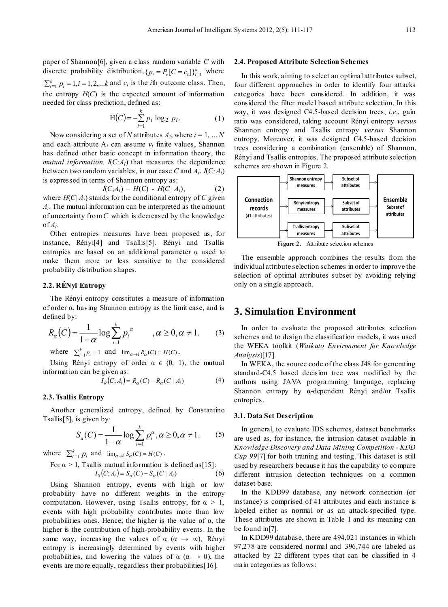paper of Shannon[6], given a class random variable *C* with discrete probability distribution,  $\{p_i = P_r[C = c_i]\}_{i=1}^k$  where  $\sum_{i=1}^{k} p_i = 1, i = 1, 2, \dots k$  and  $c_i$  is the *i*th outcome class. Then, the entropy  $H(C)$  is the expected amount of information needed for class prediction, defined as:

$$
H(C) = -\sum_{i=1}^{k} p_i \log_2 p_i.
$$
 (1)

Now considering a set of *N* attributes  $A_i$ , where  $i = 1, \ldots N$ and each attribute  $A_i$  can assume  $v_i$  finite values, Shannon has defined other basic concept in information theory, the *mutual information,*  $I(C; A_i)$  that measures the dependence between two random variables, in our case *C* and  $A_i$ .  $I(C; A_i)$ is expressed in terms of Shannon entropy as:

$$
I(C; A_i) = H(C) - H(C| A_i), \tag{2}
$$

where  $H(C|A_i)$  stands for the conditional entropy of C given *Ai*. The mutual information can be interpreted as the amount of uncertainty from *C* which is decreased by the knowledge  $of A_i$ .

Other entropies measures have been proposed as, for instance, Rényi[4] and Tsallis[5]. Rényi and Tsallis entropies are based on an additional parameter  $\alpha$  used to make them more or less sensitive to the considered probability distribution shapes.

## **2.2. RÉNyi Entropy**

The Rényi entropy constitutes a measure of information of order α, having Shannon entropy as the limit case, and is defined by:

$$
R_{\alpha}(C) = \frac{1}{1-\alpha} \log \sum_{i=1}^{k} p_i^{\alpha} \qquad , \alpha \ge 0, \alpha \ne 1.
$$
 (3)

where  $\sum_{i=1}^{k} p_i = 1$  and  $\lim_{\alpha \to 1} R_{\alpha}(C) = H(C)$ .

Using Rényi entropy of order  $\alpha \in (0, 1)$ , the mutual information can be given as:

$$
I_R(C; A_i) = R_{\alpha}(C) - R_{\alpha}(C \mid A_i)
$$
 (4)

#### **2.3. Tsallis Entropy**

Another generalized entropy, defined by Constantino Tsallis[5], is given by:

$$
S_a(C) = \frac{1}{1-\alpha} \log \sum_{i=1}^{k} p_i^{\alpha}, \alpha \ge 0, \alpha \ne 1.
$$
 (5)

where  $\sum_{i=1}^{k} p_i$  and  $\lim_{\alpha \to 1} S_{\alpha}(C) = H(C)$ .

For 
$$
\alpha > 1
$$
, Tsallis mutual information is defined as [15]:  

$$
I_S(C; A_i) = S_{\alpha}(C) - S_{\alpha}(C | A_i)
$$
(6)

Using Shannon entropy, events with high or low probability have no different weights in the entropy computation. However, using Tsallis entropy, for  $\alpha > 1$ , events with high probability contributes more than low probabilities ones. Hence, the higher is the value of  $\alpha$ , the higher is the contribution of high-probability events. In the same way, increasing the values of  $\alpha$  ( $\alpha \rightarrow \infty$ ), Rényi entropy is increasingly determined by events with higher probabilities, and lowering the values of  $\alpha$  ( $\alpha \rightarrow 0$ ), the events are more equally, regardless their probabilities[16].

#### **2.4. Proposed Attribute Selection Schemes**

In this work, aiming to select an optimal attributes subset, four different approaches in order to identify four attacks categories have been considered. In addition, it was considered the filter model based attribute selection. In this way, it was designed C4.5-based decision trees, *i.e*., gain ratio was considered, taking account Rényi entropy *versus* Shannon entropy and Tsallis entropy *versus* Shannon entropy. Moreover, it was designed C4.5-based decision trees considering a combination (ensemble) of Shannon, Rényi and Tsallis entropies. The proposed attribute selection schemes are shown in Figure 2.



**Figure 2.** Attribute selection schemes

The ensemble approach combines the results from the individual attribute selection schemes in order to improve the selection of optimal attributes subset by avoiding relying only on a single approach.

## **3. Simulation Environment**

In order to evaluate the proposed attributes selection schemes and to design the classification models, it was used the WEKA toolkit (*Waikato Environment for Knowledge Analysis*)[17].

In WEKA, the source code of the class J48 for generating standard-C4.5 based decision tree was modified by the authors using JAVA programming language, replacing Shannon entropy by α-dependent Rényi and/or Tsallis entropies.

#### **3.1. Data Set Description**

In general, to evaluate IDS schemes, dataset benchmarks are used as, for instance, the intrusion dataset available in *Knowledge Discovery and Data Mining Competition - KDD Cup 99*[7] for both training and testing. This dataset is still used by researchers because it has the capability to compare different intrusion detection techniques on a common dataset base.

In the KDD99 database, any network connection (or instance) is comprised of 41 attributes and each instance is labeled either as normal or as an attack-specified type. These attributes are shown in Table 1 and its meaning can be found in[7].

In KDD99 database, there are 494,021 instances in which 97,278 are considered normal and 396,744 are labeled as attacked by 22 different types that can be classified in 4 main categories as follows: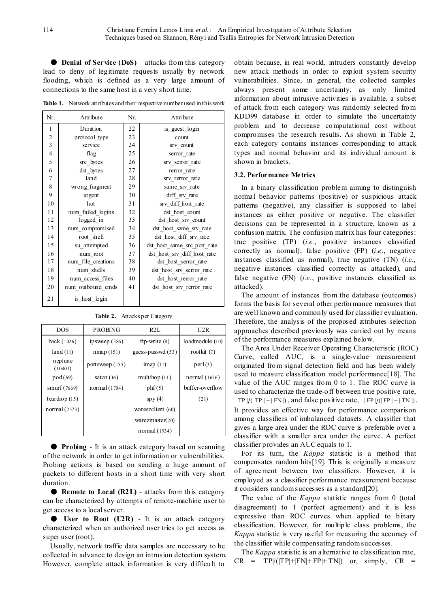● **Denial of Service (DoS)** – attacks from this category lead to deny of legitimate requests usually by network flooding, which is defined as a very large amount of connections to the same host in a very short time.

**Table 1.** Network attributes and their respective number used in this work

| Attribute<br>Nr. |                    |    | Attribute                   |  |  |
|------------------|--------------------|----|-----------------------------|--|--|
| 1                | Duration           | 22 | is guest login              |  |  |
| $\overline{c}$   | protocol type      | 23 | count                       |  |  |
| 3                | service            | 24 | srv count                   |  |  |
| $\overline{4}$   | flag               | 25 | serror rate                 |  |  |
| 5                | src bytes          | 26 | srv serror rate             |  |  |
| 6                | dst bytes          | 27 | rerror rate                 |  |  |
| $\overline{7}$   | land               | 28 | srv rerror rate             |  |  |
| 8                | wrong fragment     | 29 | same srv rate               |  |  |
| 9                | urgent             | 30 | diff_srv_rate               |  |  |
| 10               | hot                | 31 | srv diff host rate          |  |  |
| 11               | num failed logins  | 32 | dst host count              |  |  |
| 12               | logged in          | 33 | dst host srv count          |  |  |
| 13               | num compromised    | 34 | dst host same srv rate      |  |  |
| 14               | root shell         | 35 | dst host diff srv rate      |  |  |
| 15               | su attempted       | 36 | dst host same src port rate |  |  |
| 16               | num root           | 37 | dst_host_srv_diff host_rate |  |  |
| 17               | num file creations | 38 | dst host serror rate        |  |  |
| 18               | num shells         | 39 | dst host srv serror rate    |  |  |
| 19               | num access files   | 40 | dst_host_rerror_rate        |  |  |
| 20               | num outbound cmds  | 41 | dst host srv rerror rate    |  |  |
| 21               | is host login      |    |                             |  |  |

**Table 2.** Attacks per Category

| <b>DOS</b>         | <b>PROBING</b>  | R2L               | U2R             |  |  |
|--------------------|-----------------|-------------------|-----------------|--|--|
| back(1026)         | ipsweep $(586)$ | ftp-write $(8)$   | loadmodule (10) |  |  |
| land(11)           | nmap(151)       | guess-passwd (53) | rootkit $(7)$   |  |  |
| neptune<br>(10401) | portsweep (155) | $\text{imap}(11)$ | perl(3)         |  |  |
| pod(69)            | satan $(16)$    | multihop $(11)$   | normal (1676)   |  |  |
| smurf $(7669)$     | normal (1704)   | phf(5)            | buffer-overflow |  |  |
| teardrop $(15)$    |                 | spy(4)            | (21)            |  |  |
| normal $(2573)$    |                 | wareszclient (60) |                 |  |  |
|                    |                 | warezmaster(20)   |                 |  |  |
|                    |                 | normal (1934)     |                 |  |  |

● **Probing** - It is an attack category based on scanning of the network in order to get information or vulnerabilities. Probing actions is based on sending a huge amount of packets to different hosts in a short time with very short duration.

● **Remote to Local (R2L)** - attacks from this category can be characterized by attempts of remote-machine user to get access to a local server.

● **User to Root (U2R)** - It is an attack category characterized when an authorized user tries to get access as super user (root).

Usually, network traffic data samples are necessary to be collected in advance to design an intrusion detection system. However, complete attack information is very difficult to

obtain because, in real world, intruders constantly develop new attack methods in order to exploit system security vulnerabilities. Since, in general, the collected samples always present some uncertainty, as only limited information about intrusive activities is available, a subset of attack from each category was randomly selected from KDD99 database in order to simulate the uncertainty problem and to decrease computational cost without compromises the research results. As shown in Table 2, each category contains instances corresponding to attack types and normal behavior and its individual amount is shown in brackets.

## **3.2. Performance Metrics**

In a binary classification problem aiming to distinguish normal behavior patterns (positive) or suspicious attack patterns (negative), any classifier is supposed to label instances as either positive or negative. The classifier decisions can be represented in a structure, known as a confusion matrix. The confusion matrix has four categories: true positive (TP) (*i.e.*, positive instances classified correctly as normal), false positive (FP) (*i.e.*, negative instances classified as normal), true negative (TN) (*i.e.*, negative instances classified correctly as attacked), and false negative (FN) (*i.e.*, positive instances classified as attacked).

The amount of instances from the database (outcomes) forms the basis for several other performance measures that are well known and commonly used for classifier evaluation. Therefore, the analysis of the proposed attributes selection approaches described previously was carried out by means of the performance measures explained below.

The Area Under Receiver Operating Characteristic (ROC) Curve, called AUC, is a single-value measurement originated from signal detection field and has been widely used to measure classification model performance[18]. The value of the AUC ranges from 0 to 1. The ROC curve is used to characterize the trade-off between true positive rate,  $| \text{TP } | / (|\text{TP } | + | \text{FN } |)$ , and false positive rate,  $| \text{FP } | / (|\text{FP } | + | \text{TN } |)$ . It provides an effective way for performance comparison among classifiers of imbalanced datasets. A classifier that gives a large area under the ROC curve is preferable over a classifier with a smaller area under the curve. A perfect classifier provides an AUC equals to 1.

For its turn, the *Kappa* statistic is a method that compensates random hits[19]. This is originally a measure of agreement between two classifiers. However, it is employed as a classifier performance measurement because it considers random successes as a standard[20].

The value of the *Kappa* statistic ranges from 0 (total disagreement) to 1 (perfect agreement) and it is less expressive than ROC curves when applied to binary classification. However, for multiple class problems, the *Kappa* statistic is very useful for measuring the accuracy of the classifier while compensating random successes.

The *Kappa* statistic is an alternative to classification rate,  $CR = |TP|/(|TP|+|FN|+|FP|+|TN|)$  or, simply,  $CR =$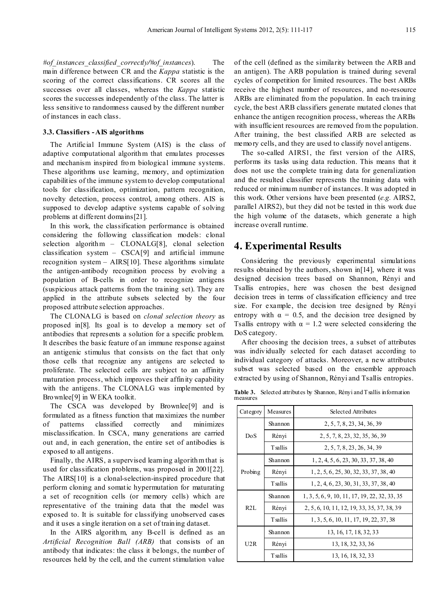*#of\_instances\_classified\_correctly/#of\_instances*). The main difference between CR and the *Kappa* statistic is the scoring of the correct classifications. CR scores all the successes over all classes, whereas the *Kappa* statistic scores the successes independently of the class. The latter is less sensitive to randomness caused by the different number of instances in each class.

## **3.3. Classifiers -AIS algorithms**

The Artificial Immune System (AIS) is the class of adaptive computational algorithm that emulates processes and mechanism inspired from biological immune systems. These algorithms use learning, memory, and optimization capabilities of the immune system to develop computational tools for classification, optimization, pattern recognition, novelty detection, process control, among others. AIS is supposed to develop adaptive systems capable of solving problems at different domains[21].

In this work, the classification performance is obtained considering the following classification models: clonal selection algorithm – CLONALG[8], clonal selection classification system  $-$  CSCA[9] and artificial immune recognition system – AIRS[10]. These algorithms simulate the antigen-antibody recognition process by evolving a population of B-cells in order to recognize antigens (suspicious attack patterns from the training set). They are applied in the attribute subsets selected by the four proposed attribute selection approaches.

The CLONALG is based on *clonal selection theory* as proposed in[8]. Its goal is to develop a memory set of antibodies that represents a solution for a specific problem. It describes the basic feature of an immune response against an antigenic stimulus that consists on the fact that only those cells that recognize any antigens are selected to proliferate. The selected cells are subject to an affinity maturation process, which improves their affinity capability with the antigens. The CLONALG was implemented by Brownlee[9] in W EKA toolkit.

The CSCA was developed by Brownlee[9] and is formulated as a fitness function that maximizes the number of patterns classified correctly and minimizes misclassification. In CSCA, many generations are carried out and, in each generation, the entire set of antibodies is exposed to all antigens.

Finally, the AIRS, a supervised learning algorithm that is used for classification problems, was proposed in 2001[22]. The AIRS[10] is a clonal-selection-inspired procedure that perform cloning and somatic hypermutation for maturating a set of recognition cells (or memory cells) which are representative of the training data that the model was exposed to. It is suitable for classifying unobserved cases and it uses a single iteration on a set of training dataset.

In the AIRS algorithm, any B-cell is defined as an *Artificial Recognition Ball (ARB)* that consists of an antibody that indicates: the class it belongs, the number of resources held by the cell, and the current stimulation value of the cell (defined as the similarity between the ARB and an antigen). The ARB population is trained during several cycles of competition for limited resources. The best ARBs receive the highest number of resources, and no-resource ARBs are eliminated from the population. In each training cycle, the best ARB classifiers generate mutated clones that enhance the antigen recognition process, whereas the ARBs with insufficient resources are removed from the population. After training, the best classified ARB are selected as memory cells, and they are used to classify novel antigens.

The so-called AIRS1, the first version of the AIRS, performs its tasks using data reduction. This means that it does not use the complete training data for generalization and the resulted classifier represents the training data with reduced or minimum number of instances. It was adopted in this work. Other versions have been presented (*e.g.* AIRS2, parallel AIRS2), but they did not be tested in this work due the high volume of the datasets, which generate a high increase overall runtime.

## **4. Experimental Results**

Considering the previously experimental simulations results obtained by the authors, shown in[14], where it was designed decision trees based on Shannon, Rényi and Tsallis entropies, here was chosen the best designed decision trees in terms of classification efficiency and tree size. For example, the decision tree designed by Rényi entropy with  $\alpha = 0.5$ , and the decision tree designed by Tsallis entropy with  $\alpha = 1.2$  were selected considering the DoS category.

After choosing the decision trees, a subset of attributes was individually selected for each dataset according to individual category of attacks. Moreover, a new attributes subset was selected based on the ensemble approach extracted by using of Shannon, Rényi and Tsallis entropies.

Table 3. Selected attributes by Shannon, Rényi and T sallis information measures

| Category | Measures        | Selected Attributes                           |  |  |  |  |  |
|----------|-----------------|-----------------------------------------------|--|--|--|--|--|
|          | Shannon         | 2, 5, 7, 8, 23, 34, 36, 39                    |  |  |  |  |  |
| DoS      | Rényi           | 2, 5, 7, 8, 23, 32, 35, 36, 39                |  |  |  |  |  |
|          | <b>T</b> sallis | 2, 5, 7, 8, 23, 26, 34, 39                    |  |  |  |  |  |
| Probing  | Shannon         | 1, 2, 4, 5, 6, 23, 30, 33, 37, 38, 40         |  |  |  |  |  |
|          | Rényi           | 1, 2, 5, 6, 25, 30, 32, 33, 37, 38, 40        |  |  |  |  |  |
|          | <b>T</b> sallis | 1, 2, 4, 6, 23, 30, 31, 33, 37, 38, 40        |  |  |  |  |  |
|          | Shannon         | 1, 3, 5, 6, 9, 10, 11, 17, 19, 22, 32, 33, 35 |  |  |  |  |  |
| R2L      | Rényi           | 2, 5, 6, 10, 11, 12, 19, 33, 35, 37, 38, 39   |  |  |  |  |  |
|          | <b>T</b> sallis | 1, 3, 5, 6, 10, 11, 17, 19, 22, 37, 38        |  |  |  |  |  |
|          | Shannon         | 13, 16, 17, 18, 32, 33                        |  |  |  |  |  |
| U2R      | Rényi           | 13, 18, 32, 33, 36                            |  |  |  |  |  |
|          | <b>T</b> sallis | 13, 16, 18, 32, 33                            |  |  |  |  |  |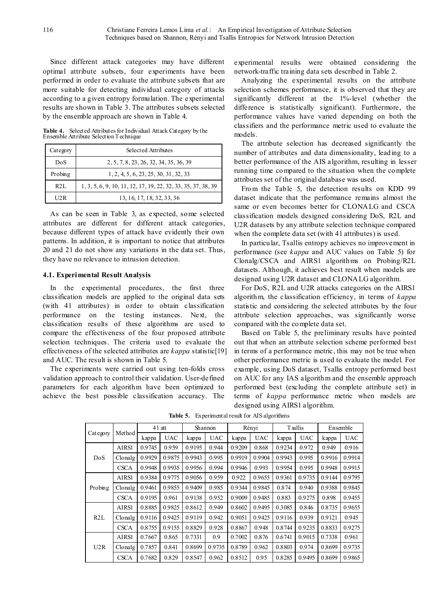Since different attack categories may have different optimal attribute subsets, four experiments have been performed in order to evaluate the attribute subsets that are more suitable for detecting individual category of attacks according to a given entropy formulation. The experimental results are shown in Table 3. The attributes subsets selected by the ensemble approach are shown in Table 4.

**Table 4.** Selected Attributes for Individual Attack Category by the Ensemble Attribute Selection Technique

| Category | Selected Attributes                                           |  |  |  |  |
|----------|---------------------------------------------------------------|--|--|--|--|
| DoS      | 2, 5, 7, 8, 23, 26, 32, 34, 35, 36, 39                        |  |  |  |  |
| Probing  | 1, 2, 4, 5, 6, 23, 25, 30, 31, 32, 33                         |  |  |  |  |
| R2L      | 1, 3, 5, 6, 9, 10, 11, 12, 17, 19, 22, 32, 33, 35, 37, 38, 39 |  |  |  |  |
| U2R      | 13, 16, 17, 18, 32, 33, 36                                    |  |  |  |  |

As can be seen in Table 3, as expected, some selected attributes are different for different attack categories, because different types of attack have evidently their own patterns. In addition, it is important to notice that attributes 20 and 21 do not show any variations in the data set. Thus, they have no relevance to intrusion detection.

## **4.1. Experimental Result Analysis**

In the experimental procedures, the first three classification models are applied to the original data sets (with 41 attributes) in order to obtain classification performance on the testing instances. Next, the classification results of these algorithms are used to compare the effectiveness of the four proposed attribute selection techniques. The criteria used to evaluate the effectiveness of the selected attributes are *kappa* statistic[19] and AUC. The result is shown in Table 5.

The experiments were carried out using ten-folds cross validation approach to control their validation. User-defined parameters for each algorithm have been optimized to achieve the best possible classification accuracy. The

experimental results were obtained considering the network-traffic training data sets described in Table 2.

Analyzing the experimental results on the attribute selection schemes performance, it is observed that they are significantly different at the 1%-level (whether the difference is statistically significant). Furthermore, the performance values have varied depending on both the classifiers and the performance metric used to evaluate the models.

The attribute selection has decreased significantly the number of attributes and data dimensionality, leading to a better performance of the AIS algorithm, resulting in lesser running time compared to the situation when the complete attributes set of the original database was used.

From the Table 5, the detection results on KDD 99 dataset indicate that the performance remains almost the same or even becomes better for CLONALG and CSCA classification models designed considering DoS, R2L and U2R datasets by any attribute selection technique compared when the complete data set (with 41 attributes) is used.

In particular, Tsallis entropy achieves no improvement in performance (see *kappa* and AUC values on Table 5) for Clonalg/CSCA and AIRS1 algorithms on Probing/R2L datasets. Although, it achieves best result when models are designed using U2R dataset and CLONALG algorithm.

For DoS, R2L and U2R attacks categories on the AIRS1 algorithm, the classification efficiency, in terms of *kappa* statistic and considering the selected attributes by the four attribute selection approaches, was significantly worse compared with the complete data set.

Based on Table 5, the preliminary results have pointed out that when an attribute selection scheme performed best in terms of a performance metric, this may not be true when other performance metric is used to evaluate the model. For example, using DoS dataset, Tsallis entropy performed best on AUC for any IAS algorithm and the ensemble approach performed best (excluding the complete attribute set) in terms of *kappa* performance metric when models are designed using AIRS1 algorithm.

| Category | Method      | 41 att |            | Shannon |            | Rényi  |            | T sallis |            | Ensemble |            |
|----------|-------------|--------|------------|---------|------------|--------|------------|----------|------------|----------|------------|
|          |             | kappa  | <b>UAC</b> | kappa   | <b>UAC</b> | kappa  | <b>UAC</b> | kappa    | <b>UAC</b> | kappa    | <b>UAC</b> |
| DoS      | AIRS1       | 0.9745 | 0.959      | 0.9195  | 0.944      | 0.9209 | 0.868      | 0.9234   | 0.972      | 0.949    | 0.916      |
|          | Clonalg     | 0.9929 | 0.9875     | 0.9943  | 0.995      | 0.9919 | 0.9904     | 0.9943   | 0.995      | 0.9916   | 0.9914     |
|          | <b>CSCA</b> | 0.9948 | 0.9935     | 0.9956  | 0.994      | 0.9946 | 0.993      | 0.9954   | 0.995      | 0.9948   | 0.9915     |
| Probing  | AIRS1       | 0.9384 | 0.9775     | 0.9056  | 0.959      | 0.922  | 0.9655     | 0.9361   | 0.9735     | 0.9144   | 0.9795     |
|          | Clonalg     | 0.9461 | 0.9855     | 0.9409  | 0.985      | 0.9344 | 0.9845     | 0.874    | 0.940      | 0.9388   | 0.9845     |
|          | <b>CSCA</b> | 0.9195 | 0.961      | 0.9138  | 0.952      | 0.9009 | 0.9485     | 0.883    | 0.9275     | 0.898    | 0.9455     |
| R2L      | AIRS1       | 0.8885 | 0.9825     | 0.8612  | 0.949      | 0.8602 | 0.9495     | 0.3085   | 0.846      | 0.8735   | 0.9655     |
|          | Clonalg     | 0.9116 | 0.9425     | 0.9119  | 0.942      | 0.9051 | 0.9425     | 0.9116   | 0.939      | 0.9121   | 0.945      |
|          | <b>CSCA</b> | 0.8755 | 0.9155     | 0.8829  | 0.928      | 0.8867 | 0.948      | 0.8744   | 0.9235     | 0.8833   | 0.9275     |
| U2R      | AIRS1       | 0.7667 | 0.865      | 0.7331  | 0.9        | 0.7002 | 0.876      | 0.6741   | 0.9015     | 0.7338   | 0.961      |
|          | Clonalg     | 0.7857 | 0.841      | 0.8699  | 0.9735     | 0.8789 | 0.962      | 0.8803   | 0.974      | 0.8699   | 0.9735     |
|          | <b>CSCA</b> | 0.7682 | 0.829      | 0.8547  | 0.962      | 0.8512 | 0.95       | 0.8285   | 0.9495     | 0.8699   | 0.9865     |

**Table 5.** Experimental result for AIS algorithms